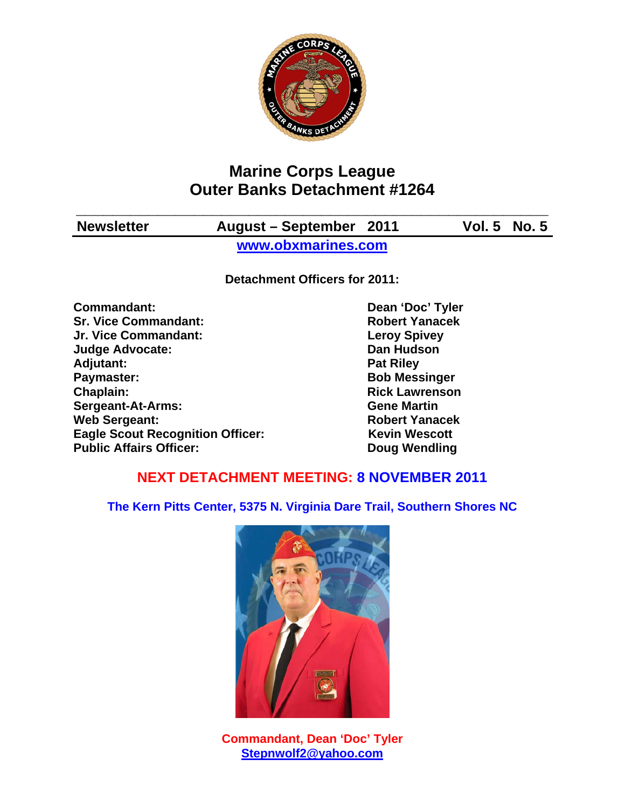

# **Marine Corps League Outer Banks Detachment #1264**

| <b>Newsletter</b> | August – September 2011 | <b>Vol. 5 No. 5</b> |
|-------------------|-------------------------|---------------------|

**www.obxmarines.com**

**Detachment Officers for 2011:** 

**Commandant:** Dean 'Doc' Tyler **Sr. Vice Commandant: Robert Yanacek Jr. Vice Commandant: Leroy Spivey Judge Advocate: Dan Hudson**  Adjutant: **Pat Riley Pat Riley Paymaster:** Bob Messinger **Chaplain: Chaplain: Rick Lawrenson Sergeant-At-Arms: Gene Martin Web Sergeant: Robert Yanacek Robert Yanacek Eagle Scout Recognition Officer:** Kevin Wescott **Public Affairs Officer:** Doug Wendling

# **NEXT DETACHMENT MEETING: 8 NOVEMBER 2011**

**The Kern Pitts Center, 5375 N. Virginia Dare Trail, Southern Shores NC** 



**Commandant, Dean 'Doc' Tyler Stepnwolf2@yahoo.com**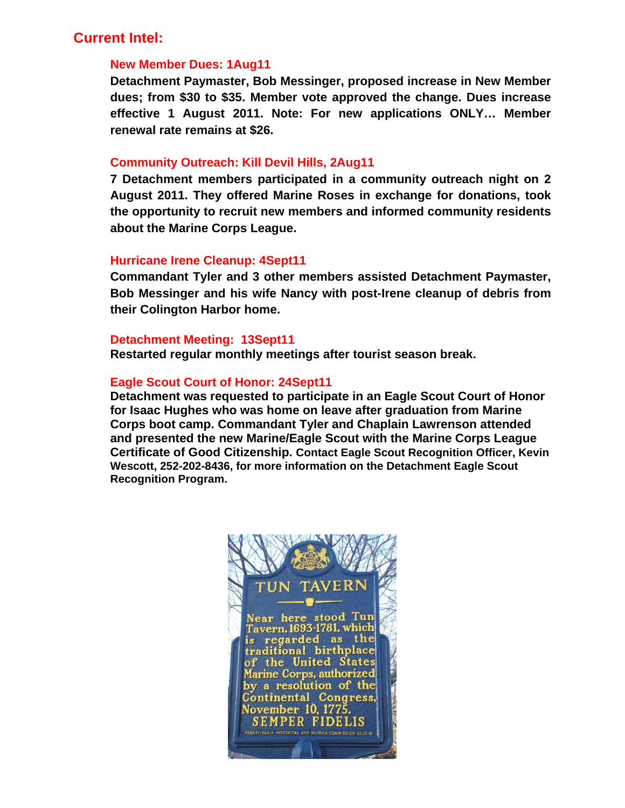## **Current Intel:**

#### **New Member Dues: 1Aug11**

**Detachment Paymaster, Bob Messinger, proposed increase in New Member dues; from \$30 to \$35. Member vote approved the change. Dues increase effective 1 August 2011. Note: For new applications ONLY… Member renewal rate remains at \$26.** 

#### **Community Outreach: Kill Devil Hills, 2Aug11**

**7 Detachment members participated in a community outreach night on 2 August 2011. They offered Marine Roses in exchange for donations, took the opportunity to recruit new members and informed community residents about the Marine Corps League.** 

#### **Hurricane Irene Cleanup: 4Sept11**

**Commandant Tyler and 3 other members assisted Detachment Paymaster, Bob Messinger and his wife Nancy with post-Irene cleanup of debris from their Colington Harbor home.** 

#### **Detachment Meeting: 13Sept11**

**Restarted regular monthly meetings after tourist season break.** 

#### **Eagle Scout Court of Honor: 24Sept11**

**Detachment was requested to participate in an Eagle Scout Court of Honor for Isaac Hughes who was home on leave after graduation from Marine Corps boot camp. Commandant Tyler and Chaplain Lawrenson attended and presented the new Marine/Eagle Scout with the Marine Corps League Certificate of Good Citizenship. Contact Eagle Scout Recognition Officer, Kevin Wescott, 252-202-8436, for more information on the Detachment Eagle Scout Recognition Program.** 

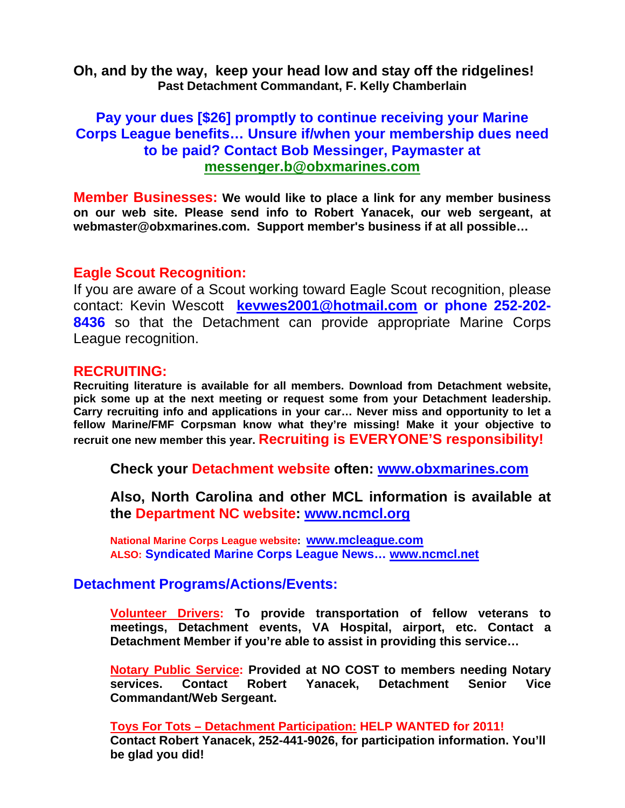**Oh, and by the way, keep your head low and stay off the ridgelines! Past Detachment Commandant, F. Kelly Chamberlain** 

## **Pay your dues [\$26] promptly to continue receiving your Marine Corps League benefits… Unsure if/when your membership dues need to be paid? Contact Bob Messinger, Paymaster at messenger.b@obxmarines.com**

**Member Businesses: We would like to place a link for any member business on our web site. Please send info to Robert Yanacek, our web sergeant, at webmaster@obxmarines.com. Support member's business if at all possible…** 

### **Eagle Scout Recognition:**

If you are aware of a Scout working toward Eagle Scout recognition, please contact: Kevin Wescott **kevwes2001@hotmail.com or phone 252-202- 8436** so that the Detachment can provide appropriate Marine Corps League recognition.

### **RECRUITING:**

**Recruiting literature is available for all members. Download from Detachment website, pick some up at the next meeting or request some from your Detachment leadership. Carry recruiting info and applications in your car… Never miss and opportunity to let a fellow Marine/FMF Corpsman know what they're missing! Make it your objective to recruit one new member this year. Recruiting is EVERYONE'S responsibility!** 

**Check your Detachment website often: www.obxmarines.com**

**Also, North Carolina and other MCL information is available at the Department NC website: www.ncmcl.org** 

**National Marine Corps League website: www.mcleague.com ALSO: Syndicated Marine Corps League News… www.ncmcl.net** 

### **Detachment Programs/Actions/Events:**

**Volunteer Drivers: To provide transportation of fellow veterans to meetings, Detachment events, VA Hospital, airport, etc. Contact a Detachment Member if you're able to assist in providing this service…** 

**Notary Public Service: Provided at NO COST to members needing Notary services. Contact Robert Yanacek, Detachment Senior Vice Commandant/Web Sergeant.** 

**Toys For Tots – Detachment Participation: HELP WANTED for 2011! Contact Robert Yanacek, 252-441-9026, for participation information. You'll be glad you did!**